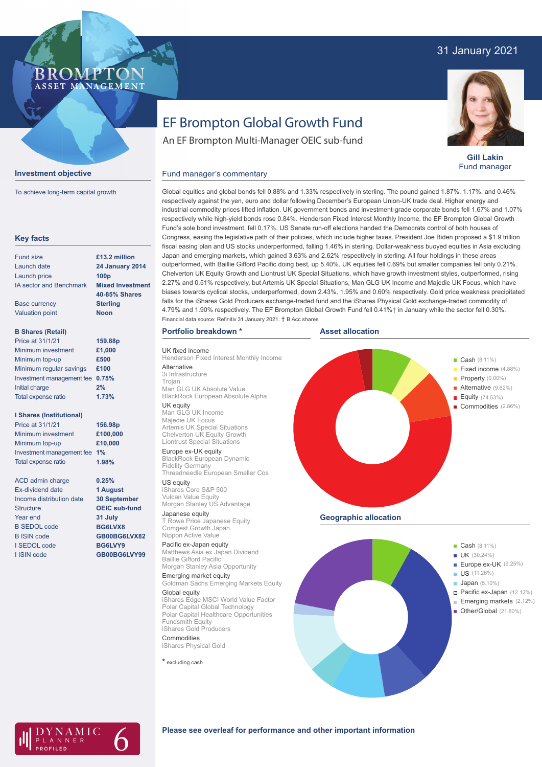# 31 January 2021

## **BROMPTO** ASSET MANAGEMENT

**Gill Lakin** Fund manager

#### **Investment objective**

To achieve long-term capital growth

| <b>Key facts</b>                |                         |
|---------------------------------|-------------------------|
| <b>Fund size</b>                | £13.2 million           |
| Launch date                     | <b>24 January 2014</b>  |
| Launch price                    | 100 <sub>p</sub>        |
| <b>IA sector and Benchmark</b>  | <b>Mixed Investment</b> |
|                                 | 40-85% Shares           |
| <b>Base currency</b>            | <b>Sterling</b>         |
| <b>Valuation point</b>          | <b>Noon</b>             |
| <b>B Shares (Retail)</b>        |                         |
| Price at 31/1/21                | 159.88p                 |
| Minimum investment              | £1,000                  |
| Minimum top-up                  | £500                    |
| Minimum regular savings         | £100                    |
| Investment management fee       | 0.75%                   |
| <b>Initial charge</b>           | 2%                      |
| Total expense ratio             | 1.73%                   |
| <b>I Shares (Institutional)</b> |                         |
| Price at 31/1/21                | 156.98p                 |
| Minimum investment              | £100,000                |
| Minimum top-up                  | £10,000                 |
| Investment management fee       | 1%                      |
| <b>Total expense ratio</b>      | 1.98%                   |
| <b>ACD admin charge</b>         | 0.25%                   |
| Ex-dividend date                | 1 August                |
| Income distribution date        | <b>30 September</b>     |
| <b>Structure</b>                | <b>OEIC sub-fund</b>    |
| Year end                        | 31 July                 |
| <b>B SEDOL code</b>             | BG6LVX8                 |
| <b>B ISIN code</b>              | GB00BG6LVX82            |
| I SEDOL code                    | BG6LVY9                 |
| I ISIN code                     | GB00BG6LVY99            |
|                                 |                         |

# EF Brompton Global Growth Fund

An EF Brompton Multi-Manager OEIC sub-fund

#### Global equities and global bonds fell 0.88% and 1.33% respectively in sterling. The pound gained 1.87%, 1.17%, and 0.46% respectively against the yen, euro and dollar following December's European Union-UK trade deal. Higher energy and industrial commodity prices lifted inflation. UK government bonds and investment-grade corporate bonds fell 1.67% and 1.07% respectively while high-yield bonds rose 0.84%. Henderson Fixed Interest Monthly Income, the EF Brompton Global Growth Fund's sole bond investment, fell 0.17%. US Senate run-off elections handed the Democrats control of both houses of Congress, easing the legislative path of their policies, which include higher taxes. President Joe Biden proposed a \$1.9 trillion fiscal easing plan and US stocks underperformed, falling 1.46% in sterling. Dollar-weakness buoyed equities in Asia excluding Japan and emerging markets, which gained 3.63% and 2.62% respectively in sterling. All four holdings in these areas outperformed, with Baillie Gifford Pacific doing best, up 5.40%. UK equities fell 0.69% but smaller companies fell only 0.21%. Chelverton UK Equity Growth and Liontrust UK Special Situations, which have growth investment styles, outperformed, rising 2.27% and 0.51% respectively, but Artemis UK Special Situations, Man GLG UK Income and Majedie UK Focus, which have biases towards cyclical stocks, underperformed, down 2.43%, 1.95% and 0.60% respectively. Gold price weakness precipitated falls for the iShares Gold Producers exchange-traded fund and the iShares Physical Gold exchange-traded commodity of 4.79% and 1.90% respectively. The EF Brompton Global Growth Fund fell 0.41%† in January while the sector fell 0.30%. Financial data source: Refinitiv 31 January 2021. † B Acc shares

### **Portfolio breakdown \***

Fund manager's commentary

UK fixed income Henderson Fixed Interest Monthly Income **Alternative** 3i Infrastructure Trojan

Man GLG UK Absolute Value BlackRock European Absolute Alpha UK equity

### Man GLG UK Income

Majedie UK Focus Artemis UK Special Situations Chelverton UK Equity Growth Liontrust Special Situations Europe ex-UK equity

BlackRock European Dynamic Fidelity Germany Threadneedle European Smaller Cos

US equity iShares Core S&P 500 Vulcan Value Equity Morgan Stanley US Advantage

Japanese equity T Rowe Price Japanese Equity Comgest Growth Japan Nippon Active Value

# Pacific ex-Japan equity

Matthews Asia ex Japan Dividend Baillie Gifford Pacific Morgan Stanley Asia Opportunity

Emerging market equity Goldman Sachs Emerging Markets Equity

Global equity iShares Edge MSCI World Value Factor Polar Capital Global Technology Polar Capital Healthcare Opportunities Fundsmith Equity iShares Gold Producers

**Commodities** iShares Physical Gold

**\*** excluding cash







### **Please see overleaf for performance and other important information**